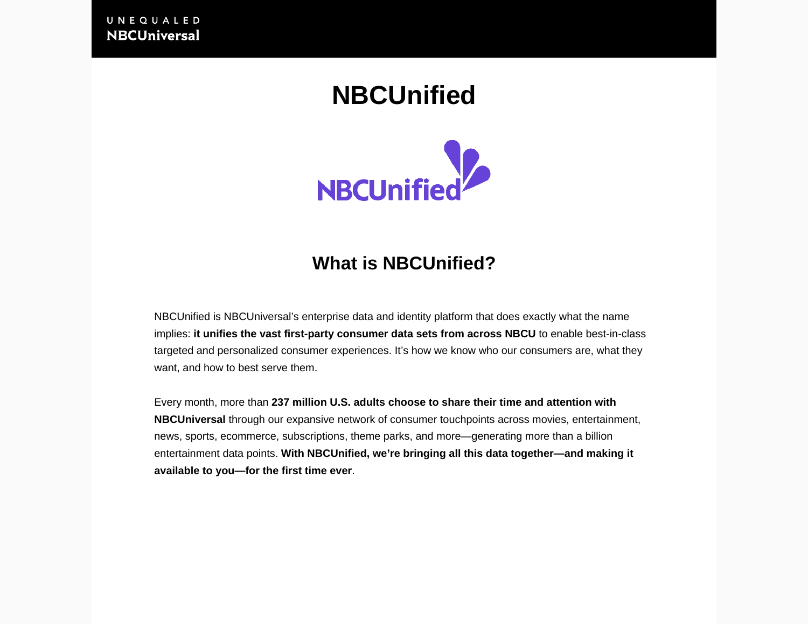## **NBCUnified**



## **What is NBCUnified?**

NBCUnified is NBCUniversal's enterprise data and identity platform that does exactly what the name implies: **it unifies the vast first-party consumer data sets from across NBCU** to enable best-in-class targeted and personalized consumer experiences. It's how we know who our consumers are, what they want, and how to best serve them.

Every month, more than **237 million U.S. adults choose to share their time and attention with NBCUniversal** through our expansive network of consumer touchpoints across movies, entertainment, news, sports, ecommerce, subscriptions, theme parks, and more—generating more than a billion entertainment data points. **With NBCUnified, we're bringing all this data together—and making it available to you—for the first time ever**.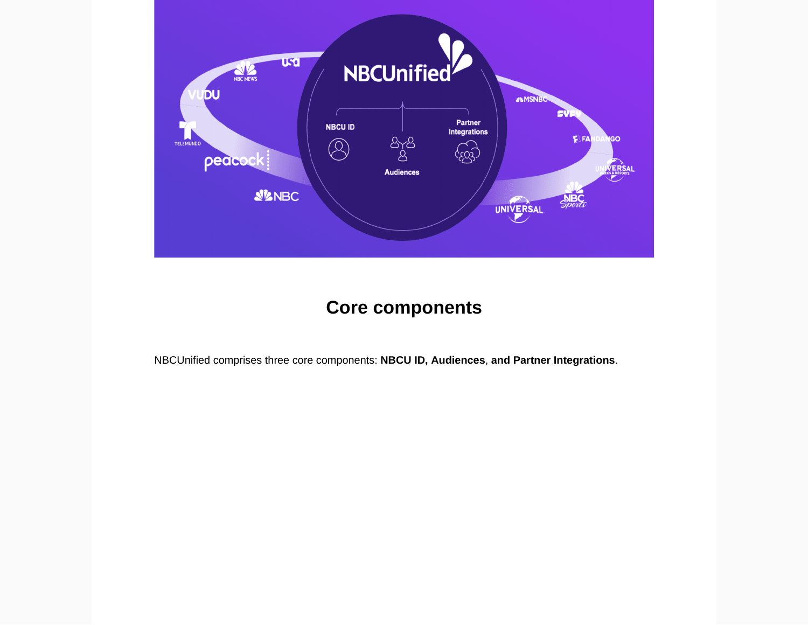

## **Core components**

NBCUnified comprises three core components: **NBCU ID, Audiences**, **and Partner Integrations**.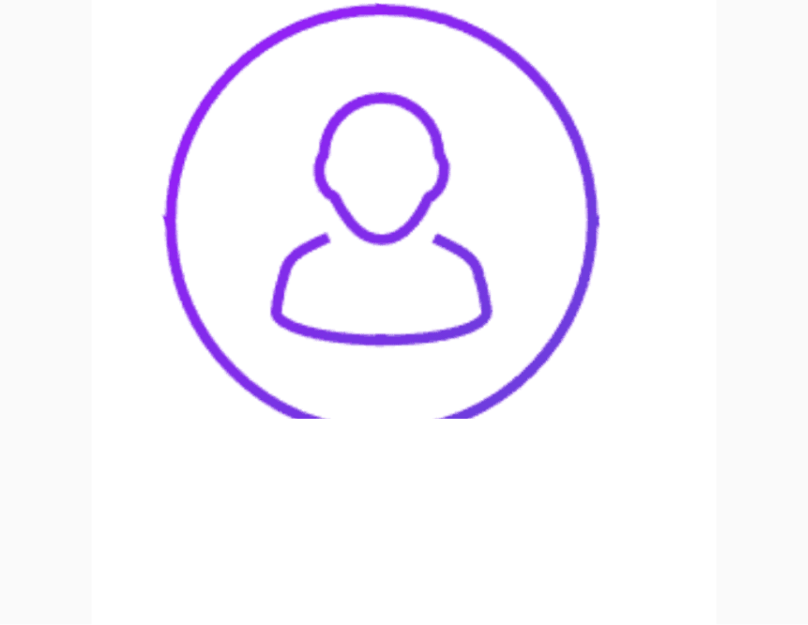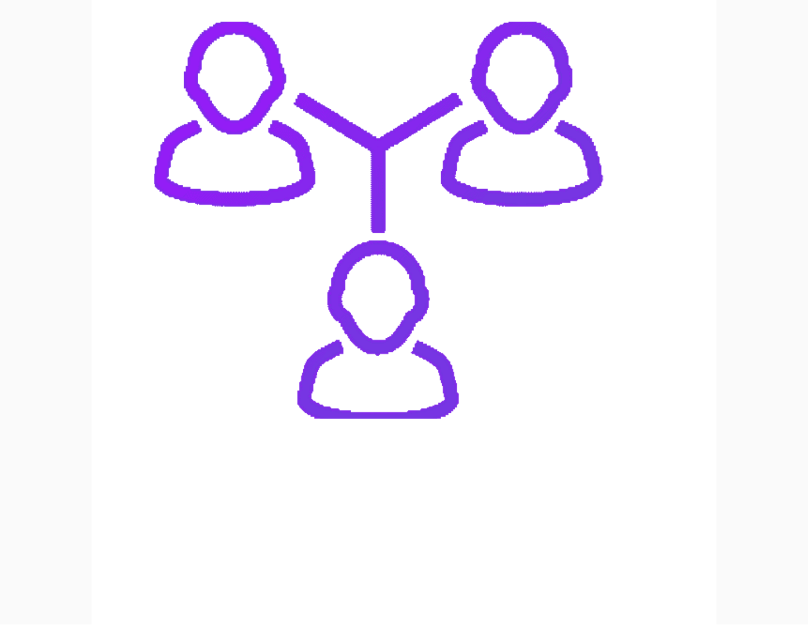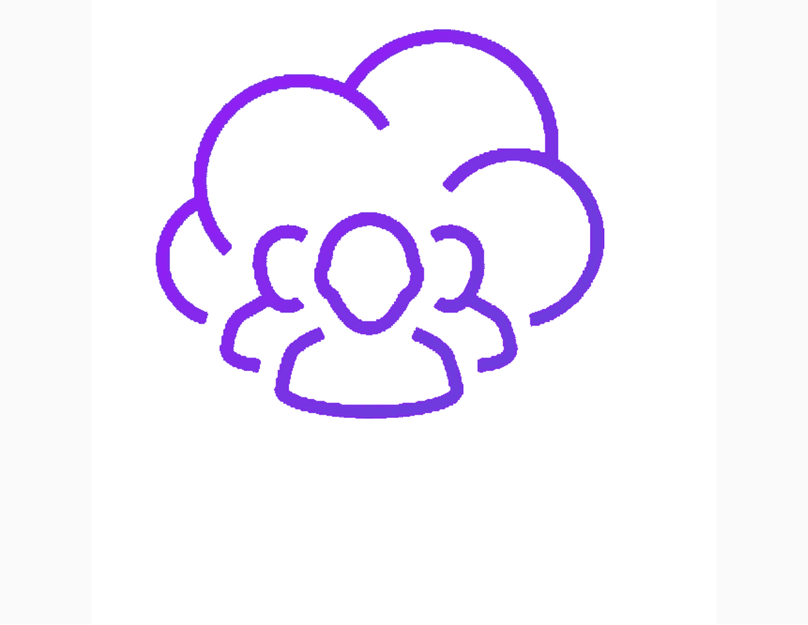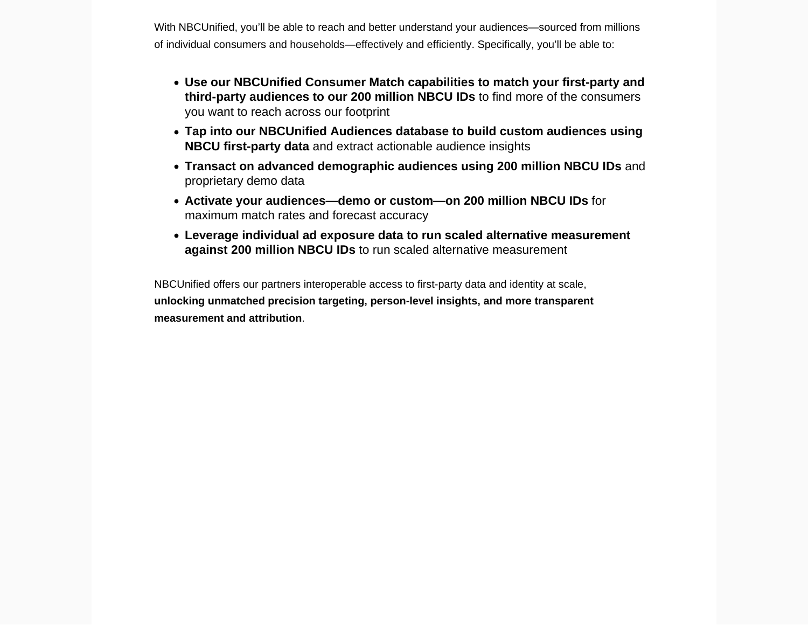With NBCUnified, you'll be able to reach and better understand your audiences—sourced from millions of individual consumers and households—effectively and efficiently. Specifically, you'll be able to:

- **Use our NBCUnified Consumer Match capabilities to match your first-party and third-party audiences to our 200 million NBCU IDs** to find more of the consumers you want to reach across our footprint
- **Tap into our NBCUnified Audiences database to build custom audiences using NBCU first-party data** and extract actionable audience insights
- **Transact on advanced demographic audiences using 200 million NBCU IDs** and proprietary demo data
- **Activate your audiences—demo or custom—on 200 million NBCU IDs** for maximum match rates and forecast accuracy
- **Leverage individual ad exposure data to run scaled alternative measurement against 200 million NBCU IDs** to run scaled alternative measurement

NBCUnified offers our partners interoperable access to first-party data and identity at scale, **unlocking unmatched precision targeting, person-level insights, and more transparent measurement and attribution**.